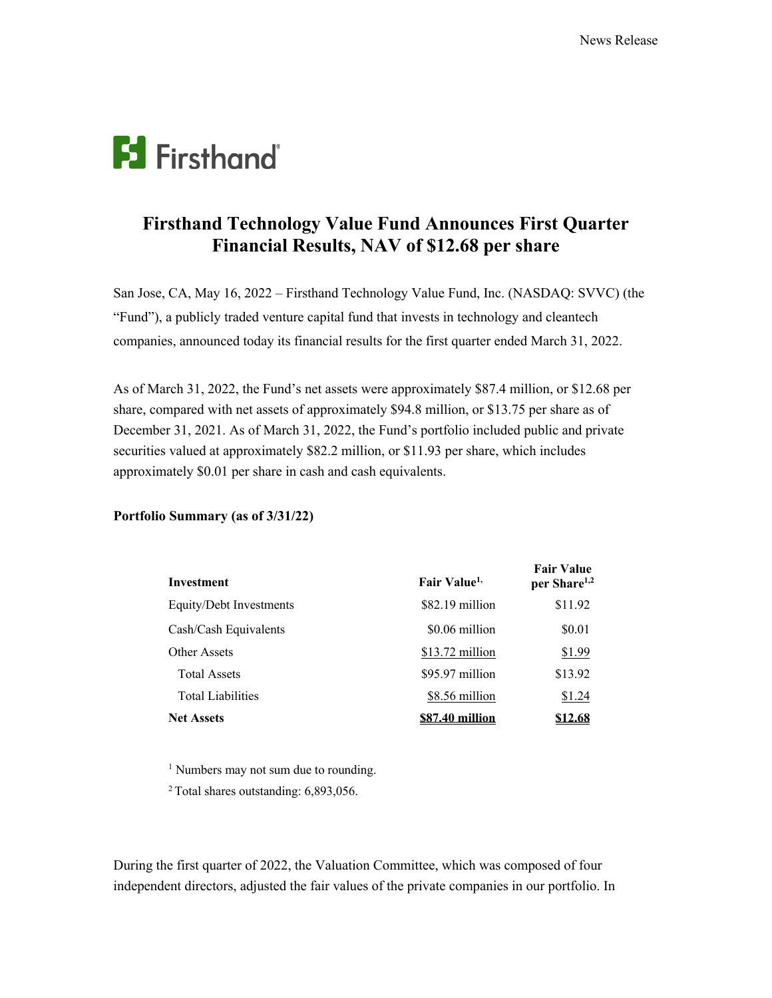# **F3** Firsthand

# **Firsthand Technology Value Fund Announces First Quarter Financial Results, NAV of \$12.68 per share**

San Jose, CA, May 16, 2022 – Firsthand Technology Value Fund, Inc. (NASDAQ: SVVC) (the "Fund"), a publicly traded venture capital fund that invests in technology and cleantech companies, announced today its financial results for the first quarter ended March 31, 2022.

As of March 31, 2022, the Fund's net assets were approximately \$87.4 million, or \$12.68 per share, compared with net assets of approximately \$94.8 million, or \$13.75 per share as of December 31, 2021. As of March 31, 2022, the Fund's portfolio included public and private securities valued at approximately \$82.2 million, or \$11.93 per share, which includes approximately \$0.01 per share in cash and cash equivalents.

## **Portfolio Summary (as of 3/31/22)**

| Investment               | Fair Value <sup>1,</sup> | <b>Fair Value</b><br>per Share <sup>1,2</sup> |
|--------------------------|--------------------------|-----------------------------------------------|
| Equity/Debt Investments  | \$82.19 million          | \$11.92                                       |
| Cash/Cash Equivalents    | \$0.06 million           | \$0.01                                        |
| Other Assets             | \$13.72 million          | \$1.99                                        |
| <b>Total Assets</b>      | \$95.97 million          | \$13.92                                       |
| <b>Total Liabilities</b> | \$8.56 million           | \$1.24                                        |
| <b>Net Assets</b>        | \$87.40 million          | \$12.68                                       |

<sup>1</sup> Numbers may not sum due to rounding.

<sup>2</sup> Total shares outstanding: 6,893,056.

During the first quarter of 2022, the Valuation Committee, which was composed of four independent directors, adjusted the fair values of the private companies in our portfolio. In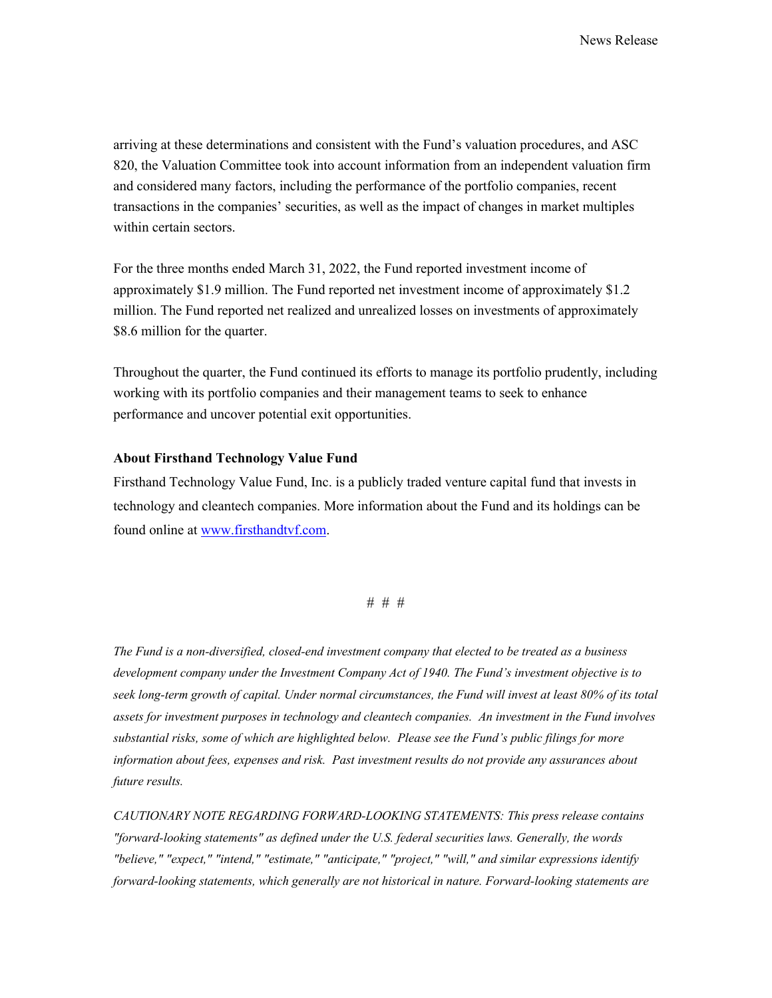arriving at these determinations and consistent with the Fund's valuation procedures, and ASC 820, the Valuation Committee took into account information from an independent valuation firm and considered many factors, including the performance of the portfolio companies, recent transactions in the companies' securities, as well as the impact of changes in market multiples within certain sectors.

For the three months ended March 31, 2022, the Fund reported investment income of approximately \$1.9 million. The Fund reported net investment income of approximately \$1.2 million. The Fund reported net realized and unrealized losses on investments of approximately \$8.6 million for the quarter.

Throughout the quarter, the Fund continued its efforts to manage its portfolio prudently, including working with its portfolio companies and their management teams to seek to enhance performance and uncover potential exit opportunities.

### **About Firsthand Technology Value Fund**

Firsthand Technology Value Fund, Inc. is a publicly traded venture capital fund that invests in technology and cleantech companies. More information about the Fund and its holdings can be found online at www.firsthandtvf.com.

#### # # #

*The Fund is a non-diversified, closed-end investment company that elected to be treated as a business development company under the Investment Company Act of 1940. The Fund's investment objective is to seek long-term growth of capital. Under normal circumstances, the Fund will invest at least 80% of its total assets for investment purposes in technology and cleantech companies. An investment in the Fund involves substantial risks, some of which are highlighted below. Please see the Fund's public filings for more information about fees, expenses and risk. Past investment results do not provide any assurances about future results.*

*CAUTIONARY NOTE REGARDING FORWARD-LOOKING STATEMENTS: This press release contains "forward-looking statements" as defined under the U.S. federal securities laws. Generally, the words "believe," "expect," "intend," "estimate," "anticipate," "project," "will," and similar expressions identify forward-looking statements, which generally are not historical in nature. Forward-looking statements are*